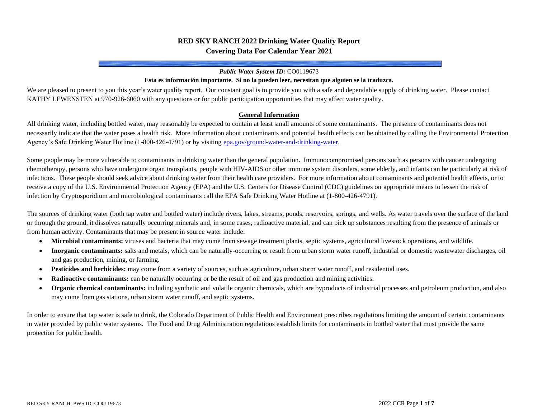# **RED SKY RANCH 2022 Drinking Water Quality Report Covering Data For Calendar Year 2021**

#### *Public Water System ID:* CO0119673

#### **Esta es información importante. Si no la pueden leer, necesitan que alguien se la traduzca.**

We are pleased to present to you this year's water quality report. Our constant goal is to provide you with a safe and dependable supply of drinking water. Please contact KATHY LEWENSTEN at 970-926-6060 with any questions or for public participation opportunities that may affect water quality.

#### **General Information**

All drinking water, including bottled water, may reasonably be expected to contain at least small amounts of some contaminants. The presence of contaminants does not necessarily indicate that the water poses a health risk. More information about contaminants and potential health effects can be obtained by calling the Environmental Protection Agency's Safe Drinking Water Hotline (1-800-426-4791) or by visitin[g epa.gov/ground-water-and-drinking-water.](https://www.epa.gov/ground-water-and-drinking-water)

Some people may be more vulnerable to contaminants in drinking water than the general population. Immunocompromised persons such as persons with cancer undergoing chemotherapy, persons who have undergone organ transplants, people with HIV-AIDS or other immune system disorders, some elderly, and infants can be particularly at risk of infections. These people should seek advice about drinking water from their health care providers. For more information about contaminants and potential health effects, or to receive a copy of the U.S. Environmental Protection Agency (EPA) and the U.S. Centers for Disease Control (CDC) guidelines on appropriate means to lessen the risk of infection by Cryptosporidium and microbiological contaminants call the EPA Safe Drinking Water Hotline at (1-800-426-4791).

The sources of drinking water (both tap water and bottled water) include rivers, lakes, streams, ponds, reservoirs, springs, and wells. As water travels over the surface of the land or through the ground, it dissolves naturally occurring minerals and, in some cases, radioactive material, and can pick up substances resulting from the presence of animals or from human activity. Contaminants that may be present in source water include:

- **Microbial contaminants:** viruses and bacteria that may come from sewage treatment plants, septic systems, agricultural livestock operations, and wildlife.
- **Inorganic contaminants:** salts and metals, which can be naturally-occurring or result from urban storm water runoff, industrial or domestic wastewater discharges, oil and gas production, mining, or farming.
- **Pesticides and herbicides:** may come from a variety of sources, such as agriculture, urban storm water runoff, and residential uses.
- **Radioactive contaminants:** can be naturally occurring or be the result of oil and gas production and mining activities.
- **Organic chemical contaminants:** including synthetic and volatile organic chemicals, which are byproducts of industrial processes and petroleum production, and also may come from gas stations, urban storm water runoff, and septic systems.

In order to ensure that tap water is safe to drink, the Colorado Department of Public Health and Environment prescribes regulations limiting the amount of certain contaminants in water provided by public water systems. The Food and Drug Administration regulations establish limits for contaminants in bottled water that must provide the same protection for public health.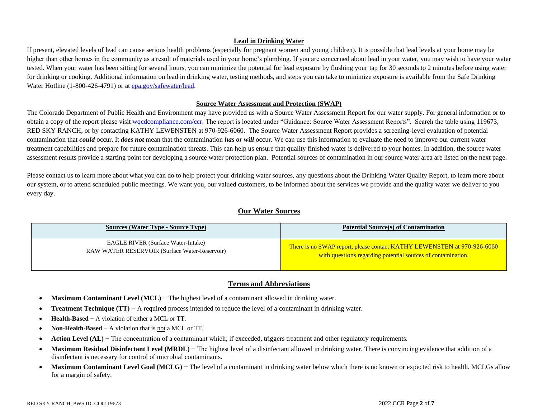### **Lead in Drinking Water**

If present, elevated levels of lead can cause serious health problems (especially for pregnant women and young children). It is possible that lead levels at your home may be higher than other homes in the community as a result of materials used in your home's plumbing. If you are concerned about lead in your water, you may wish to have your water tested. When your water has been sitting for several hours, you can minimize the potential for lead exposure by flushing your tap for 30 seconds to 2 minutes before using water for drinking or cooking. Additional information on lead in drinking water, testing methods, and steps you can take to minimize exposure is available from the Safe Drinking Water Hotline (1-800-426-4791) or a[t epa.gov/safewater/lead.](http://www.epa.gov/safewater/lead)

#### **Source Water Assessment and Protection (SWAP)**

The Colorado Department of Public Health and Environment may have provided us with a Source Water Assessment Report for our water supply. For general information or to obtain a copy of the report please visit [wqcdcompliance.com/ccr.](https://wqcdcompliance.com/ccr) The report is located under "Guidance: Source Water Assessment Reports". Search the table using 119673, RED SKY RANCH, or by contacting KATHY LEWENSTEN at 970-926-6060. The Source Water Assessment Report provides a screening-level evaluation of potential contamination that *could* occur. It *does not* mean that the contamination *has or will* occur. We can use this information to evaluate the need to improve our current water treatment capabilities and prepare for future contamination threats. This can help us ensure that quality finished water is delivered to your homes. In addition, the source water assessment results provide a starting point for developing a source water protection plan. Potential sources of contamination in our source water area are listed on the next page.

Please contact us to learn more about what you can do to help protect your drinking water sources, any questions about the Drinking Water Quality Report, to learn more about our system, or to attend scheduled public meetings. We want you, our valued customers, to be informed about the services we provide and the quality water we deliver to you every day.

## **Our Water Sources**

| <b>Sources (Water Type - Source Type)</b>            | <b>Potential Source(s) of Contamination</b>                             |
|------------------------------------------------------|-------------------------------------------------------------------------|
| <b>EAGLE RIVER (Surface Water-Intake)</b>            | There is no SWAP report, please contact KATHY LEWENSTEN at 970-926-6060 |
| <b>RAW WATER RESERVOIR (Surface Water-Reservoir)</b> | with questions regarding potential sources of contamination.            |

## **Terms and Abbreviations**

- **Maximum Contaminant Level (MCL)** − The highest level of a contaminant allowed in drinking water.
- **Treatment Technique (TT)** − A required process intended to reduce the level of a contaminant in drinking water.
- **Health-Based** − A violation of either a MCL or TT.
- **Non-Health-Based** − A violation that is not a MCL or TT.
- **Action Level (AL)** − The concentration of a contaminant which, if exceeded, triggers treatment and other regulatory requirements.
- Maximum Residual Disinfectant Level (MRDL) The highest level of a disinfectant allowed in drinking water. There is convincing evidence that addition of a disinfectant is necessary for control of microbial contaminants.
- **Maximum Contaminant Level Goal (MCLG)** − The level of a contaminant in drinking water below which there is no known or expected risk to health. MCLGs allow for a margin of safety.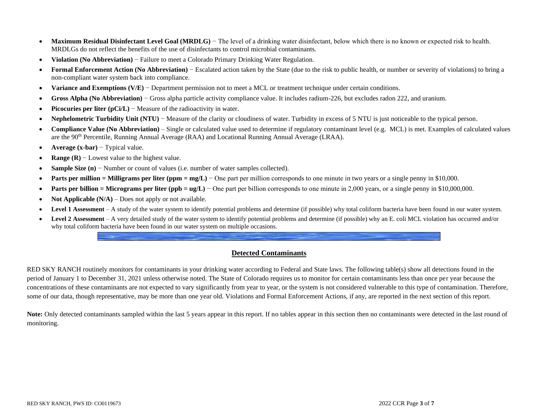- **Maximum Residual Disinfectant Level Goal (MRDLG)** The level of a drinking water disinfectant, below which there is no known or expected risk to health. MRDLGs do not reflect the benefits of the use of disinfectants to control microbial contaminants.
- **Violation (No Abbreviation)** − Failure to meet a Colorado Primary Drinking Water Regulation.
- **Formal Enforcement Action (No Abbreviation)** − Escalated action taken by the State (due to the risk to public health, or number or severity of violations) to bring a non-compliant water system back into compliance.
- **Variance and Exemptions (V/E)** − Department permission not to meet a MCL or treatment technique under certain conditions.
- **Gross Alpha (No Abbreviation)** − Gross alpha particle activity compliance value. It includes radium-226, but excludes radon 222, and uranium.
- **Picocuries per liter (pCi/L)** − Measure of the radioactivity in water.
- **Nephelometric Turbidity Unit (NTU)** − Measure of the clarity or cloudiness of water. Turbidity in excess of 5 NTU is just noticeable to the typical person.
- **Compliance Value (No Abbreviation)** Single or calculated value used to determine if regulatory contaminant level (e.g. MCL) is met. Examples of calculated values are the 90th Percentile, Running Annual Average (RAA) and Locational Running Annual Average (LRAA).
- **Average (x-bar)** − Typical value.
- **Range (R)** − Lowest value to the highest value.
- **Sample Size (n)** − Number or count of values (i.e. number of water samples collected).
- **Parts per million = Milligrams per liter (ppm = mg/L)** − One part per million corresponds to one minute in two years or a single penny in \$10,000.
- **Parts per billion = Micrograms per liter (ppb = ug/L)** One part per billion corresponds to one minute in 2,000 years, or a single penny in \$10,000,000.
- **Not Applicable (N/A)** Does not apply or not available.
- **Level 1 Assessment** A study of the water system to identify potential problems and determine (if possible) why total coliform bacteria have been found in our water system.
- **Level 2 Assessment** A very detailed study of the water system to identify potential problems and determine (if possible) why an E. coli MCL violation has occurred and/or why total coliform bacteria have been found in our water system on multiple occasions.

# **Detected Contaminants**

RED SKY RANCH routinely monitors for contaminants in your drinking water according to Federal and State laws. The following table(s) show all detections found in the period of January 1 to December 31, 2021 unless otherwise noted. The State of Colorado requires us to monitor for certain contaminants less than once per year because the concentrations of these contaminants are not expected to vary significantly from year to year, or the system is not considered vulnerable to this type of contamination. Therefore, some of our data, though representative, may be more than one year old. Violations and Formal Enforcement Actions, if any, are reported in the next section of this report.

Note: Only detected contaminants sampled within the last 5 years appear in this report. If no tables appear in this section then no contaminants were detected in the last round of monitoring.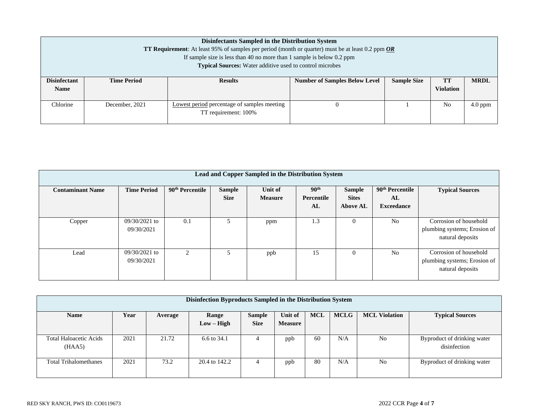|                                                                                                                                  | Disinfectants Sampled in the Distribution System<br><b>TT Requirement</b> : At least 95% of samples per period (month or quarter) must be at least 0.2 ppm $OR$ |                                                                         |                                      |                    |                  |             |  |  |  |  |  |
|----------------------------------------------------------------------------------------------------------------------------------|-----------------------------------------------------------------------------------------------------------------------------------------------------------------|-------------------------------------------------------------------------|--------------------------------------|--------------------|------------------|-------------|--|--|--|--|--|
|                                                                                                                                  |                                                                                                                                                                 | If sample size is less than 40 no more than 1 sample is below $0.2$ ppm |                                      |                    |                  |             |  |  |  |  |  |
|                                                                                                                                  |                                                                                                                                                                 | <b>Typical Sources:</b> Water additive used to control microbes         |                                      |                    |                  |             |  |  |  |  |  |
| <b>Disinfectant</b>                                                                                                              | <b>Time Period</b>                                                                                                                                              | <b>Results</b>                                                          | <b>Number of Samples Below Level</b> | <b>Sample Size</b> | TT               | <b>MRDL</b> |  |  |  |  |  |
| <b>Name</b>                                                                                                                      |                                                                                                                                                                 |                                                                         |                                      |                    | <b>Violation</b> |             |  |  |  |  |  |
| Chlorine<br>December, 2021<br>No<br>$4.0$ ppm<br>Lowest period percentage of samples meeting<br>$\theta$<br>TT requirement: 100% |                                                                                                                                                                 |                                                                         |                                      |                    |                  |             |  |  |  |  |  |

| Lead and Copper Sampled in the Distribution System |                               |                             |                              |                           |                                      |                                                  |                                                        |                                                                            |  |  |  |  |
|----------------------------------------------------|-------------------------------|-----------------------------|------------------------------|---------------------------|--------------------------------------|--------------------------------------------------|--------------------------------------------------------|----------------------------------------------------------------------------|--|--|--|--|
| <b>Contaminant Name</b>                            | <b>Time Period</b>            | 90 <sup>th</sup> Percentile | <b>Sample</b><br><b>Size</b> | Unit of<br><b>Measure</b> | 90 <sup>th</sup><br>Percentile<br>AL | <b>Sample</b><br><b>Sites</b><br><b>Above AL</b> | 90 <sup>th</sup> Percentile<br>AL<br><b>Exceedance</b> | <b>Typical Sources</b>                                                     |  |  |  |  |
| Copper                                             | $09/30/2021$ to<br>09/30/2021 | 0.1                         |                              | ppm                       | 1.3                                  | $\Omega$                                         | N <sub>0</sub>                                         | Corrosion of household<br>plumbing systems; Erosion of<br>natural deposits |  |  |  |  |
| Lead                                               | 09/30/2021 to<br>09/30/2021   |                             | 5.                           | ppb                       | 15                                   | $\Omega$                                         | N <sub>0</sub>                                         | Corrosion of household<br>plumbing systems; Erosion of<br>natural deposits |  |  |  |  |

| Disinfection Byproducts Sampled in the Distribution System |      |         |                       |                              |                           |     |             |                      |                                             |  |  |
|------------------------------------------------------------|------|---------|-----------------------|------------------------------|---------------------------|-----|-------------|----------------------|---------------------------------------------|--|--|
| <b>Name</b>                                                | Year | Average | Range<br>$Low - High$ | <b>Sample</b><br><b>Size</b> | Unit of<br><b>Measure</b> | MCL | <b>MCLG</b> | <b>MCL Violation</b> | <b>Typical Sources</b>                      |  |  |
| <b>Total Haloacetic Acids</b><br>(HAA5)                    | 2021 | 21.72   | 6.6 to 34.1           | 4                            | ppb                       | 60  | N/A         | No                   | Byproduct of drinking water<br>disinfection |  |  |
| <b>Total Trihalomethanes</b>                               | 2021 | 73.2    | 20.4 to 142.2         | 4                            | ppb                       | 80  | N/A         | N <sub>o</sub>       | Byproduct of drinking water                 |  |  |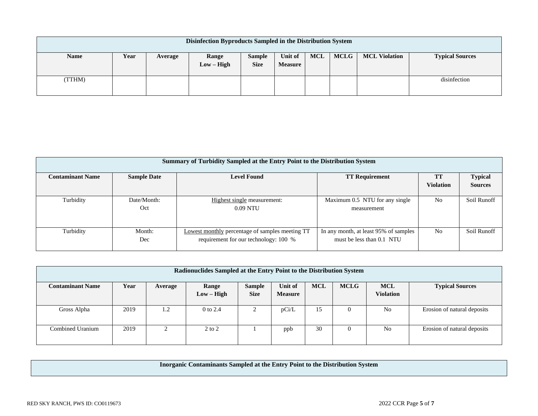| Disinfection Byproducts Sampled in the Distribution System |      |         |                       |                       |                           |     |             |                      |                        |
|------------------------------------------------------------|------|---------|-----------------------|-----------------------|---------------------------|-----|-------------|----------------------|------------------------|
| <b>Name</b>                                                | Year | Average | Range<br>$Low - High$ | Sample<br><b>Size</b> | Unit of<br><b>Measure</b> | MCL | <b>MCLG</b> | <b>MCL Violation</b> | <b>Typical Sources</b> |
| (TTHM)                                                     |      |         |                       |                       |                           |     |             |                      | disinfection           |

|                         | <b>Summary of Turbidity Sampled at the Entry Point to the Distribution System</b> |                                                        |                                       |                  |                |  |  |  |  |  |  |  |
|-------------------------|-----------------------------------------------------------------------------------|--------------------------------------------------------|---------------------------------------|------------------|----------------|--|--|--|--|--|--|--|
|                         |                                                                                   |                                                        |                                       |                  |                |  |  |  |  |  |  |  |
| <b>Contaminant Name</b> | <b>Sample Date</b>                                                                | <b>Level Found</b>                                     | <b>TT Requirement</b>                 | TT               | <b>Typical</b> |  |  |  |  |  |  |  |
|                         |                                                                                   |                                                        |                                       | <b>Violation</b> | <b>Sources</b> |  |  |  |  |  |  |  |
|                         |                                                                                   |                                                        |                                       |                  |                |  |  |  |  |  |  |  |
| Turbidity               | Date/Month:                                                                       | Highest single measurement:                            | Maximum 0.5 NTU for any single        | N <sub>0</sub>   | Soil Runoff    |  |  |  |  |  |  |  |
|                         | Oct                                                                               | $0.09$ NTU                                             | measurement                           |                  |                |  |  |  |  |  |  |  |
|                         |                                                                                   |                                                        |                                       |                  |                |  |  |  |  |  |  |  |
|                         |                                                                                   |                                                        |                                       |                  |                |  |  |  |  |  |  |  |
| Turbidity               | Month:                                                                            | <b>Lowest monthly percentage of samples meeting TT</b> | In any month, at least 95% of samples | N <sub>0</sub>   | Soil Runoff    |  |  |  |  |  |  |  |
|                         | Dec                                                                               | requirement for our technology: 100 %                  | must be less than 0.1 NTU             |                  |                |  |  |  |  |  |  |  |
|                         |                                                                                   |                                                        |                                       |                  |                |  |  |  |  |  |  |  |

| Radionuclides Sampled at the Entry Point to the Distribution System |      |         |              |               |                           |            |             |                                |                             |  |
|---------------------------------------------------------------------|------|---------|--------------|---------------|---------------------------|------------|-------------|--------------------------------|-----------------------------|--|
| <b>Contaminant Name</b>                                             | Year | Average | Range        | <b>Sample</b> | Unit of<br><b>Measure</b> | <b>MCL</b> | <b>MCLG</b> | <b>MCL</b><br><b>Violation</b> | <b>Typical Sources</b>      |  |
|                                                                     |      |         | $Low - High$ | <b>Size</b>   |                           |            |             |                                |                             |  |
| Gross Alpha                                                         | 2019 | 1.2     | 0 to 2.4     |               | pCi/L                     | 15         | $\theta$    | N <sub>0</sub>                 | Erosion of natural deposits |  |
|                                                                     |      |         |              |               |                           |            |             |                                |                             |  |
| Combined Uranium                                                    | 2019 |         | $2$ to $2$   |               | ppb                       | 30         | $\Omega$    | N <sub>0</sub>                 | Erosion of natural deposits |  |
|                                                                     |      |         |              |               |                           |            |             |                                |                             |  |

**Inorganic Contaminants Sampled at the Entry Point to the Distribution System**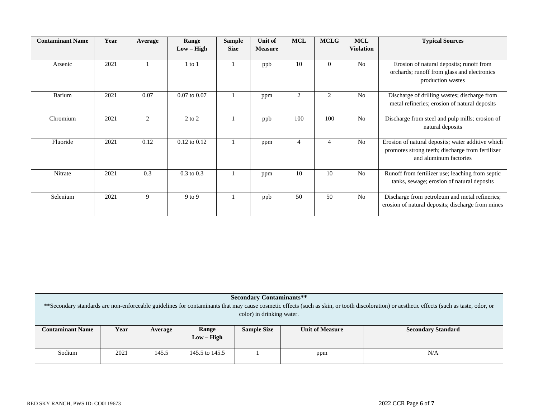| <b>Contaminant Name</b> | Year | Average | Range            | <b>Sample</b> | Unit of        | <b>MCL</b> | <b>MCLG</b> | <b>MCL</b>       | <b>Typical Sources</b>                                                                                                          |
|-------------------------|------|---------|------------------|---------------|----------------|------------|-------------|------------------|---------------------------------------------------------------------------------------------------------------------------------|
|                         |      |         | $Low - High$     | <b>Size</b>   | <b>Measure</b> |            |             | <b>Violation</b> |                                                                                                                                 |
| Arsenic                 | 2021 |         | $1$ to $1$       |               | ppb            | 10         | $\Omega$    | N <sub>o</sub>   | Erosion of natural deposits; runoff from<br>orchards; runoff from glass and electronics<br>production wastes                    |
| <b>Barium</b>           | 2021 | 0.07    | $0.07$ to $0.07$ |               | ppm            | 2          | 2           | N <sub>0</sub>   | Discharge of drilling wastes; discharge from<br>metal refineries; erosion of natural deposits                                   |
| Chromium                | 2021 | 2       | $2$ to $2$       |               | ppb            | 100        | 100         | N <sub>0</sub>   | Discharge from steel and pulp mills; erosion of<br>natural deposits                                                             |
| Fluoride                | 2021 | 0.12    | $0.12$ to $0.12$ |               | ppm            | 4          | 4           | N <sub>o</sub>   | Erosion of natural deposits; water additive which<br>promotes strong teeth; discharge from fertilizer<br>and aluminum factories |
| Nitrate                 | 2021 | 0.3     | $0.3$ to $0.3$   |               | ppm            | 10         | 10          | N <sub>o</sub>   | Runoff from fertilizer use; leaching from septic<br>tanks, sewage; erosion of natural deposits                                  |
| Selenium                | 2021 | 9       | $9$ to $9$       |               | ppb            | 50         | 50          | N <sub>0</sub>   | Discharge from petroleum and metal refineries;<br>erosion of natural deposits; discharge from mines                             |

| <b>Secondary Contaminants**</b><br>**Secondary standards are non-enforceable guidelines for contaminants that may cause cosmetic effects (such as skin, or tooth discoloration) or aesthetic effects (such as taste, odor, or |      |         |                       |                    |                        |                           |  |  |  |  |  |  |
|-------------------------------------------------------------------------------------------------------------------------------------------------------------------------------------------------------------------------------|------|---------|-----------------------|--------------------|------------------------|---------------------------|--|--|--|--|--|--|
| color) in drinking water.                                                                                                                                                                                                     |      |         |                       |                    |                        |                           |  |  |  |  |  |  |
| <b>Contaminant Name</b>                                                                                                                                                                                                       | Year | Average | Range<br>$Low - High$ | <b>Sample Size</b> | <b>Unit of Measure</b> | <b>Secondary Standard</b> |  |  |  |  |  |  |
| Sodium                                                                                                                                                                                                                        | 2021 | 145.5   | 145.5 to 145.5        | N/A<br>ppm         |                        |                           |  |  |  |  |  |  |